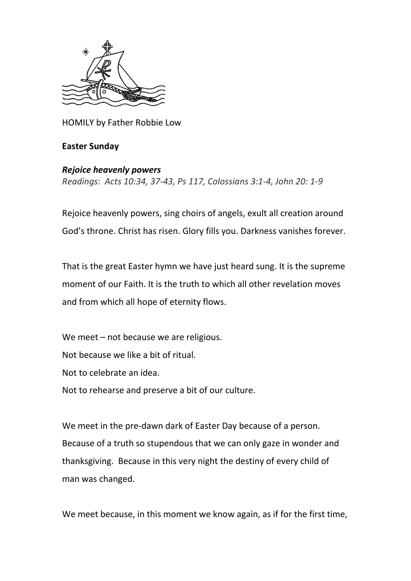

HOMILY by Father Robbie Low

## **Easter Sunday**

## *Rejoice heavenly powers*

*Readings*: *Acts 10:34, 37-43, Ps 117, Colossians 3:1-4, John 20: 1-9*

Rejoice heavenly powers, sing choirs of angels, exult all creation around God's throne. Christ has risen. Glory fills you. Darkness vanishes forever.

That is the great Easter hymn we have just heard sung. It is the supreme moment of our Faith. It is the truth to which all other revelation moves and from which all hope of eternity flows.

We meet – not because we are religious. Not because we like a bit of ritual. Not to celebrate an idea. Not to rehearse and preserve a bit of our culture.

We meet in the pre-dawn dark of Easter Day because of a person. Because of a truth so stupendous that we can only gaze in wonder and thanksgiving. Because in this very night the destiny of every child of man was changed.

We meet because, in this moment we know again, as if for the first time,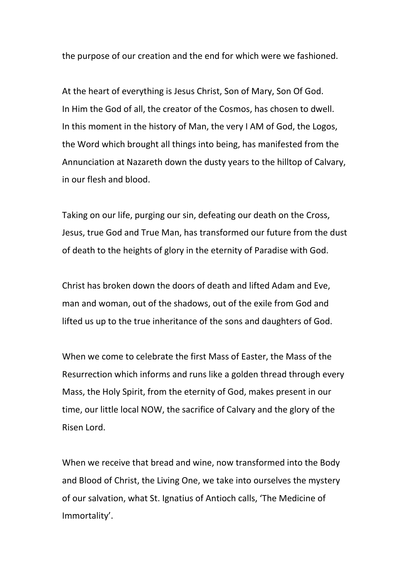the purpose of our creation and the end for which were we fashioned.

At the heart of everything is Jesus Christ, Son of Mary, Son Of God. In Him the God of all, the creator of the Cosmos, has chosen to dwell. In this moment in the history of Man, the very I AM of God, the Logos, the Word which brought all things into being, has manifested from the Annunciation at Nazareth down the dusty years to the hilltop of Calvary, in our flesh and blood.

Taking on our life, purging our sin, defeating our death on the Cross, Jesus, true God and True Man, has transformed our future from the dust of death to the heights of glory in the eternity of Paradise with God.

Christ has broken down the doors of death and lifted Adam and Eve, man and woman, out of the shadows, out of the exile from God and lifted us up to the true inheritance of the sons and daughters of God.

When we come to celebrate the first Mass of Easter, the Mass of the Resurrection which informs and runs like a golden thread through every Mass, the Holy Spirit, from the eternity of God, makes present in our time, our little local NOW, the sacrifice of Calvary and the glory of the Risen Lord.

When we receive that bread and wine, now transformed into the Body and Blood of Christ, the Living One, we take into ourselves the mystery of our salvation, what St. Ignatius of Antioch calls, 'The Medicine of Immortality'.